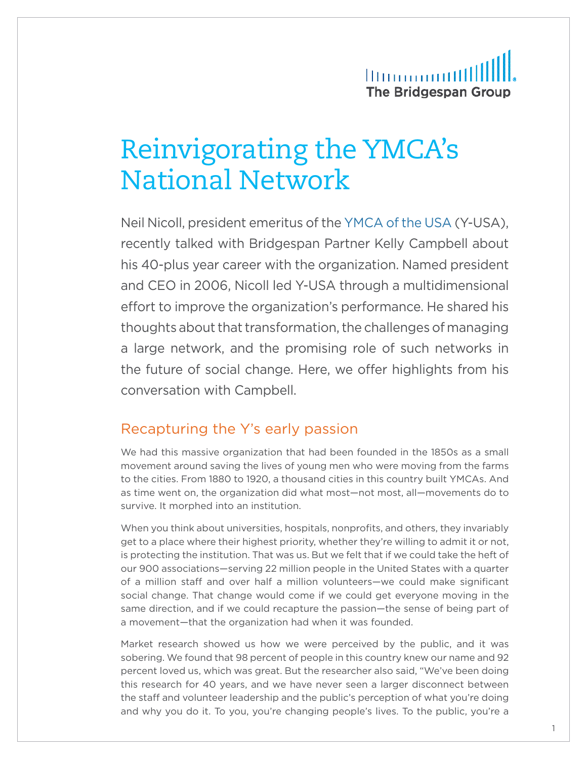## **Illinoonomilli** The Bridgespan Group

# Reinvigorating the YMCA's National Network

Neil Nicoll, president emeritus of the [YMCA of the USA](http://www.ymca.net/) (Y-USA), recently talked with Bridgespan Partner Kelly Campbell about his 40-plus year career with the organization. Named president and CEO in 2006, Nicoll led Y-USA through a multidimensional effort to improve the organization's performance. He shared his thoughts about that transformation, the challenges of managing a large network, and the promising role of such networks in the future of social change. Here, we offer highlights from his conversation with Campbell.

#### Recapturing the Y's early passion

We had this massive organization that had been founded in the 1850s as a small movement around saving the lives of young men who were moving from the farms to the cities. From 1880 to 1920, a thousand cities in this country built YMCAs. And as time went on, the organization did what most—not most, all—movements do to survive. It morphed into an institution.

When you think about universities, hospitals, nonprofits, and others, they invariably get to a place where their highest priority, whether they're willing to admit it or not, is protecting the institution. That was us. But we felt that if we could take the heft of our 900 associations—serving 22 million people in the United States with a quarter of a million staff and over half a million volunteers—we could make significant social change. That change would come if we could get everyone moving in the same direction, and if we could recapture the passion—the sense of being part of a movement—that the organization had when it was founded.

Market research showed us how we were perceived by the public, and it was sobering. We found that 98 percent of people in this country knew our name and 92 percent loved us, which was great. But the researcher also said, "We've been doing this research for 40 years, and we have never seen a larger disconnect between the staff and volunteer leadership and the public's perception of what you're doing and why you do it. To you, you're changing people's lives. To the public, you're a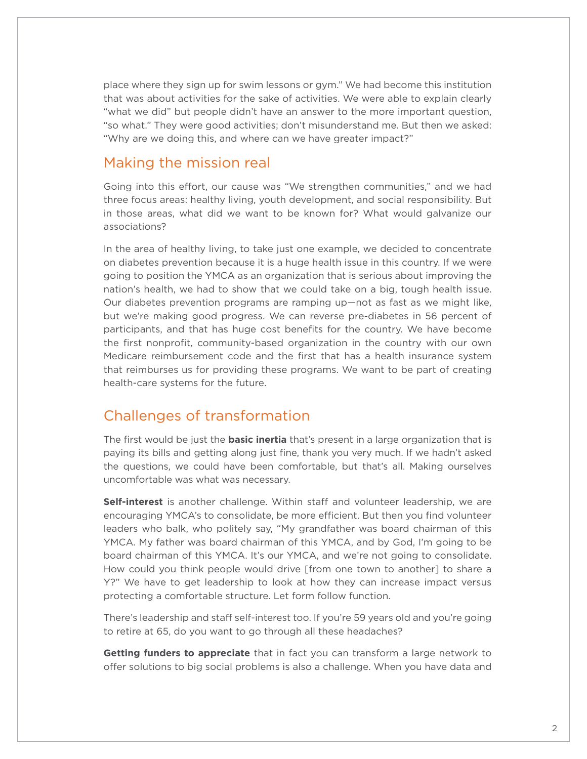place where they sign up for swim lessons or gym." We had become this institution that was about activities for the sake of activities. We were able to explain clearly "what we did" but people didn't have an answer to the more important question, "so what." They were good activities; don't misunderstand me. But then we asked: "Why are we doing this, and where can we have greater impact?"

#### Making the mission real

Going into this effort, our cause was "We strengthen communities," and we had three focus areas: healthy living, youth development, and social responsibility. But in those areas, what did we want to be known for? What would galvanize our associations?

In the area of healthy living, to take just one example, we decided to concentrate on diabetes prevention because it is a huge health issue in this country. If we were going to position the YMCA as an organization that is serious about improving the nation's health, we had to show that we could take on a big, tough health issue. Our diabetes prevention programs are ramping up—not as fast as we might like, but we're making good progress. We can reverse pre-diabetes in 56 percent of participants, and that has huge cost benefits for the country. We have become the first nonprofit, community-based organization in the country with our own Medicare reimbursement code and the first that has a health insurance system that reimburses us for providing these programs. We want to be part of creating health-care systems for the future.

### Challenges of transformation

The first would be just the **basic inertia** that's present in a large organization that is paying its bills and getting along just fine, thank you very much. If we hadn't asked the questions, we could have been comfortable, but that's all. Making ourselves uncomfortable was what was necessary.

**Self-interest** is another challenge. Within staff and volunteer leadership, we are encouraging YMCA's to consolidate, be more efficient. But then you find volunteer leaders who balk, who politely say, "My grandfather was board chairman of this YMCA. My father was board chairman of this YMCA, and by God, I'm going to be board chairman of this YMCA. It's our YMCA, and we're not going to consolidate. How could you think people would drive [from one town to another] to share a Y?" We have to get leadership to look at how they can increase impact versus protecting a comfortable structure. Let form follow function.

There's leadership and staff self-interest too. If you're 59 years old and you're going to retire at 65, do you want to go through all these headaches?

**Getting funders to appreciate** that in fact you can transform a large network to offer solutions to big social problems is also a challenge. When you have data and